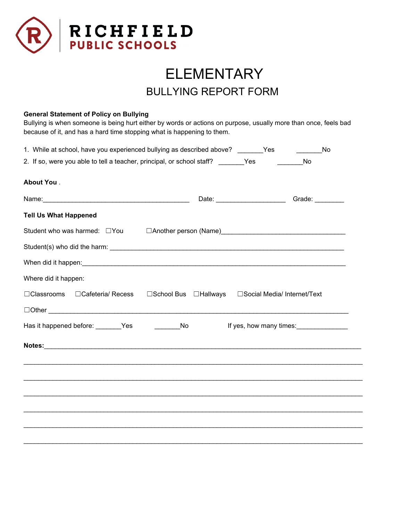

## ELEMENTARY BULLYING REPORT FORM

## **General Statement of Policy on Bullying**

Bullying is when someone is being hurt either by words or actions on purpose, usually more than once, feels bad because of it, and has a hard time stopping what is happening to them.

| 1. While at school, have you experienced bullying as described above? _______Yes            |  |                                                    | <b>Solution</b> No                                |
|---------------------------------------------------------------------------------------------|--|----------------------------------------------------|---------------------------------------------------|
| 2. If so, were you able to tell a teacher, principal, or school staff? _______Yes _________ |  | No                                                 |                                                   |
| <b>About You</b> .                                                                          |  |                                                    |                                                   |
|                                                                                             |  |                                                    | Date: __________________________Grade: __________ |
| <b>Tell Us What Happened</b>                                                                |  |                                                    |                                                   |
|                                                                                             |  |                                                    |                                                   |
|                                                                                             |  |                                                    |                                                   |
|                                                                                             |  |                                                    |                                                   |
| Where did it happen:                                                                        |  |                                                    |                                                   |
| □Classrooms □Cafeteria/ Recess                                                              |  | □School Bus □Hallways □Social Media/ Internet/Text |                                                   |
| $\Box$ Other $\Box$                                                                         |  |                                                    |                                                   |
| Has it happened before: ________Yes<br>_______________No                                    |  |                                                    | If yes, how many times:                           |
|                                                                                             |  |                                                    |                                                   |
|                                                                                             |  |                                                    |                                                   |
|                                                                                             |  |                                                    |                                                   |
|                                                                                             |  |                                                    |                                                   |
|                                                                                             |  |                                                    |                                                   |
|                                                                                             |  |                                                    |                                                   |
|                                                                                             |  |                                                    |                                                   |